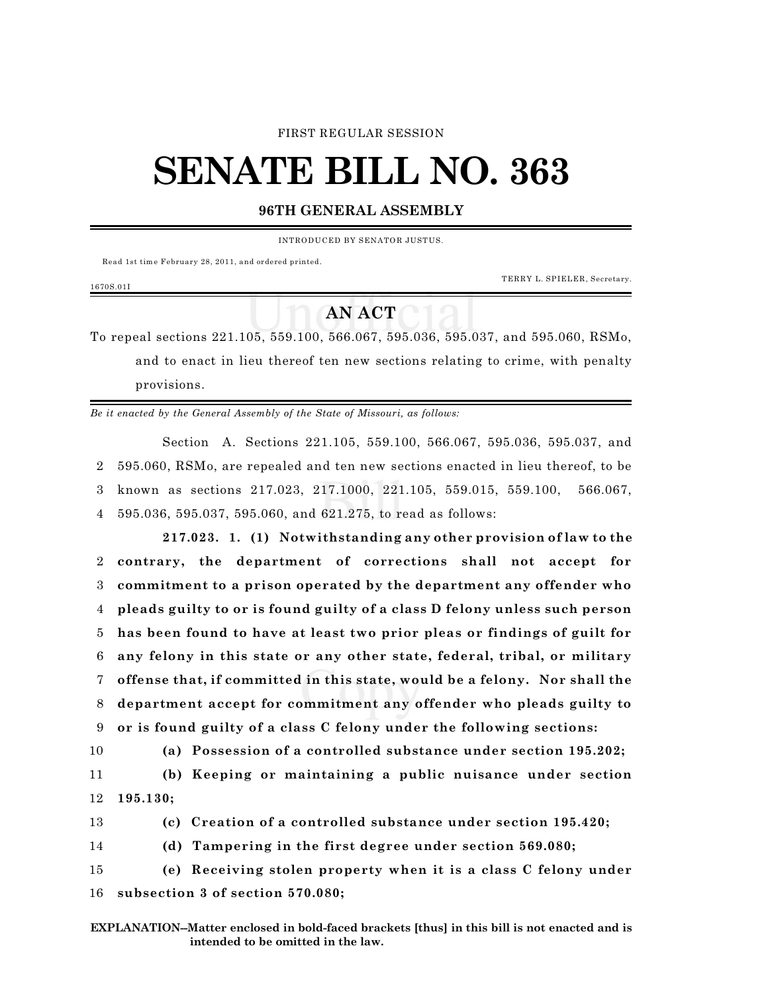#### FIRST REGULAR SESSION

# **SENATE BILL NO. 363**

### **96TH GENERAL ASSEMBLY**

INTRODU CED BY SENATOR JUSTUS.

Read 1st tim e February 28, 2011, and ordered printed.

TERRY L. SPIELER, Secretary.

# **AN ACT**

To repeal sections 221.105, 559.100, 566.067, 595.036, 595.037, and 595.060, RSMo, and to enact in lieu thereof ten new sections relating to crime, with penalty provisions.

*Be it enacted by the General Assembly of the State of Missouri, as follows:*

Section A. Sections 221.105, 559.100, 566.067, 595.036, 595.037, and 595.060, RSMo, are repealed and ten new sections enacted in lieu thereof, to be known as sections 217.023, 217.1000, 221.105, 559.015, 559.100, 566.067, 595.036, 595.037, 595.060, and 621.275, to read as follows:

**217.023. 1. (1) Notwithstanding any other provision of law to the contrary, the department of corrections shall not accept for commitment to a prison operated by the department any offender who pleads guilty to or is found guilty of a class D felony unless such person has been found to have at least two prior pleas or findings of guilt for any felony in this state or any other state, federal, tribal, or military offense that, if committed in this state, would be a felony. Nor shall the department accept for commitment any offender who pleads guilty to or is found guilty of a class C felony under the following sections:**

1670S.01I

10 **(a) Possession of a controlled substance under section 195.202;**

11 **(b) Keeping or maintaining a public nuisance under section** 12 **195.130;**

13 **(c) Creation of a controlled substance under section 195.420;**

14 **(d) Tampering in the first degree under section 569.080;**

15 **(e) Receiving stolen property when it is a class C felony under** 16 **subsection 3 of section 570.080;**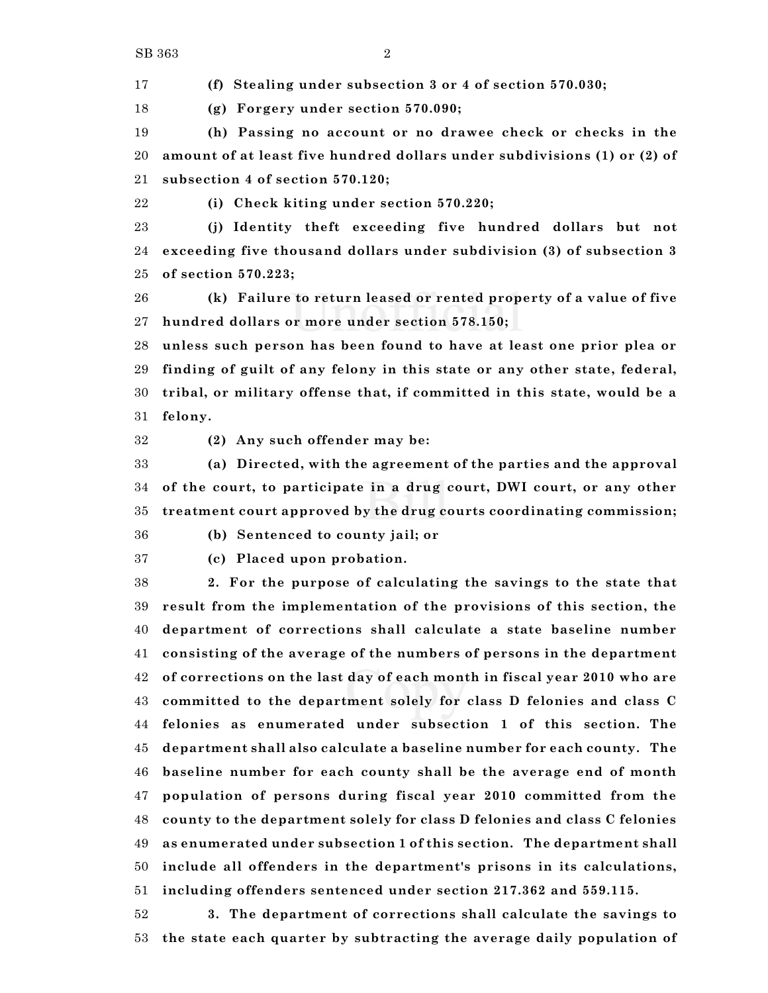**(f) Stealing under subsection 3 or 4 of section 570.030;**

**(g) Forgery under section 570.090;**

 **(h) Passing no account or no drawee check or checks in the amount of at least five hundred dollars under subdivisions (1) or (2) of subsection 4 of section 570.120;**

**(i) Check kiting under section 570.220;**

 **(j) Identity theft exceeding five hundred dollars but not exceeding five thousand dollars under subdivision (3) of subsection 3 of section 570.223;**

 **(k) Failure to return leased or rented property of a value of five hundred dollars or more under section 578.150;**

 **unless such person has been found to have at least one prior plea or finding of guilt of any felony in this state or any other state, federal, tribal, or military offense that, if committed in this state, would be a felony.**

**(2) Any such offender may be:**

 **(a) Directed, with the agreement of the parties and the approval of the court, to participate in a drug court, DWI court, or any other treatment court approved by the drug courts coordinating commission;**

**(b) Sentenced to county jail; or**

**(c) Placed upon probation.**

 **2. For the purpose of calculating the savings to the state that result from the implementation of the provisions of this section, the department of corrections shall calculate a state baseline number consisting of the average of the numbers of persons in the department of corrections on the last day of each month in fiscal year 2010 who are committed to the department solely for class D felonies and class C felonies as enumerated under subsection 1 of this section. The department shall also calculate a baseline number for each county. The baseline number for each county shall be the average end of month population of persons during fiscal year 2010 committed from the county to the department solely for class D felonies and class C felonies as enumerated under subsection 1 of this section. The department shall include all offenders in the department's prisons in its calculations, including offenders sentenced under section 217.362 and 559.115.**

 **3. The department of corrections shall calculate the savings to the state each quarter by subtracting the average daily population of**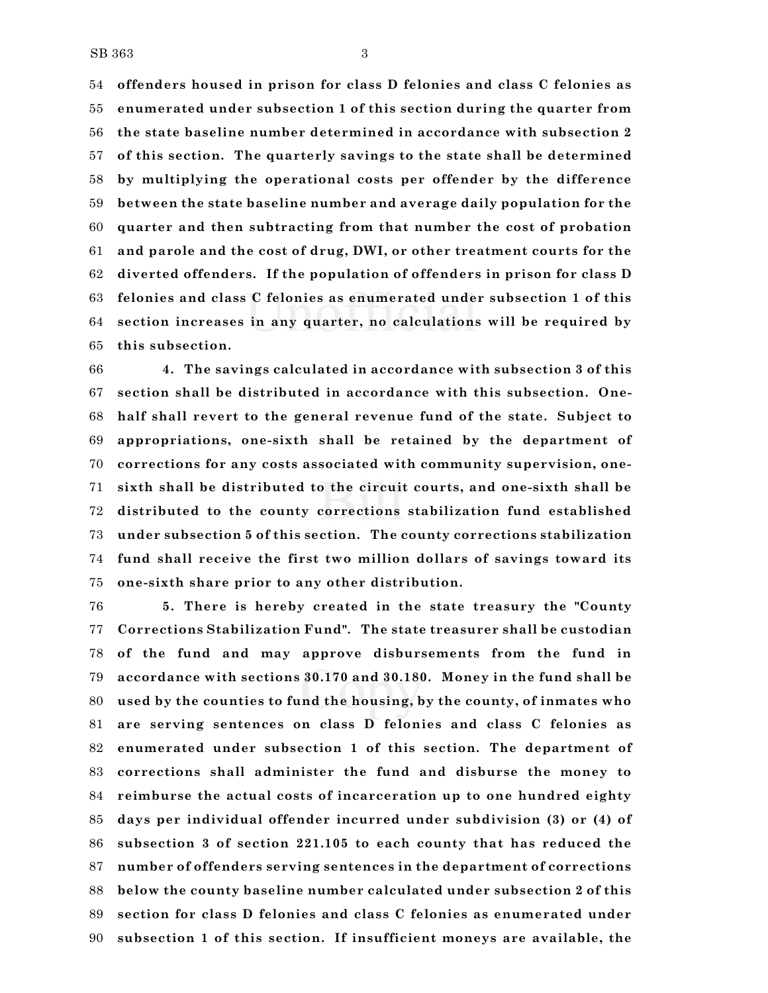**offenders housed in prison for class D felonies and class C felonies as enumerated under subsection 1 of this section during the quarter from the state baseline number determined in accordance with subsection 2 of this section. The quarterly savings to the state shall be determined by multiplying the operational costs per offender by the difference between the state baseline number and average daily population for the quarter and then subtracting from that number the cost of probation and parole and the cost of drug, DWI, or other treatment courts for the diverted offenders. If the population of offenders in prison for class D felonies and class C felonies as enumerated under subsection 1 of this section increases in any quarter, no calculations will be required by this subsection.**

 **4. The savings calculated in accordance with subsection 3 of this section shall be distributed in accordance with this subsection. One- half shall revert to the general revenue fund of the state. Subject to appropriations, one-sixth shall be retained by the department of corrections for any costs associated with community supervision, one- sixth shall be distributed to the circuit courts, and one-sixth shall be distributed to the county corrections stabilization fund established under subsection 5 of this section. The county corrections stabilization fund shall receive the first two million dollars of savings toward its one-sixth share prior to any other distribution.**

 **5. There is hereby created in the state treasury the "County Corrections Stabilization Fund". The state treasurer shall be custodian of the fund and may approve disbursements from the fund in accordance with sections 30.170 and 30.180. Money in the fund shall be used by the counties to fund the housing, by the county, of inmates who are serving sentences on class D felonies and class C felonies as enumerated under subsection 1 of this section. The department of corrections shall administer the fund and disburse the money to reimburse the actual costs of incarceration up to one hundred eighty days per individual offender incurred under subdivision (3) or (4) of subsection 3 of section 221.105 to each county that has reduced the number of offenders serving sentences in the department of corrections below the county baseline number calculated under subsection 2 of this section for class D felonies and class C felonies as enumerated under subsection 1 of this section. If insufficient moneys are available, the**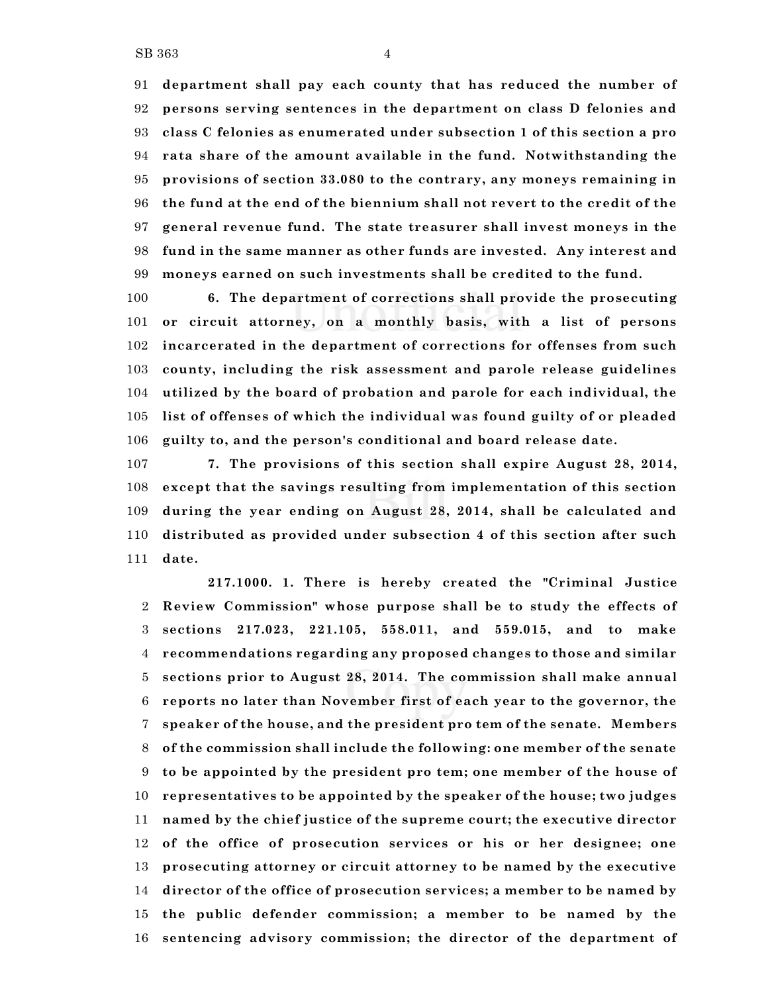**department shall pay each county that has reduced the number of persons serving sentences in the department on class D felonies and class C felonies as enumerated under subsection 1 of this section a pro rata share of the amount available in the fund. Notwithstanding the provisions of section 33.080 to the contrary, any moneys remaining in the fund at the end of the biennium shall not revert to the credit of the general revenue fund. The state treasurer shall invest moneys in the fund in the same manner as other funds are invested. Any interest and moneys earned on such investments shall be credited to the fund.**

 **6. The department of corrections shall provide the prosecuting or circuit attorney, on a monthly basis, with a list of persons incarcerated in the department of corrections for offenses from such county, including the risk assessment and parole release guidelines utilized by the board of probation and parole for each individual, the list of offenses of which the individual was found guilty of or pleaded guilty to, and the person's conditional and board release date.**

 **7. The provisions of this section shall expire August 28, 2014, except that the savings resulting from implementation of this section during the year ending on August 28, 2014, shall be calculated and distributed as provided under subsection 4 of this section after such date.**

**217.1000. 1. There is hereby created the "Criminal Justice Review Commission" whose purpose shall be to study the effects of sections 217.023, 221.105, 558.011, and 559.015, and to make recommendations regarding any proposed changes to those and similar sections prior to August 28, 2014. The commission shall make annual reports no later than November first of each year to the governor, the speaker of the house, and the president pro tem of the senate. Members of the commission shall include the following: one member of the senate to be appointed by the president pro tem; one member of the house of representatives to be appointed by the speaker of the house; two judges named by the chief justice of the supreme court; the executive director of the office of prosecution services or his or her designee; one prosecuting attorney or circuit attorney to be named by the executive director of the office of prosecution services; a member to be named by the public defender commission; a member to be named by the sentencing advisory commission; the director of the department of**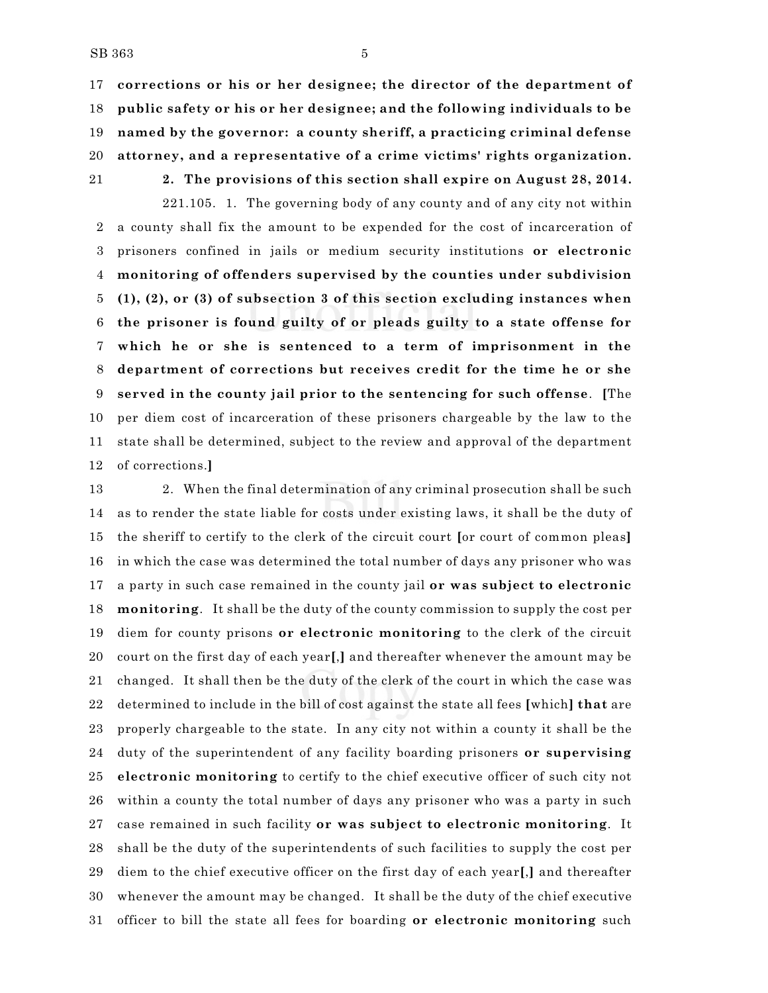**corrections or his or her designee; the director of the department of public safety or his or her designee; and the following individuals to be named by the governor: a county sheriff, a practicing criminal defense attorney, and a representative of a crime victims' rights organization.**

# **2. The provisions of this section shall expire on August 28, 2014.**

221.105. 1. The governing body of any county and of any city not within a county shall fix the amount to be expended for the cost of incarceration of prisoners confined in jails or medium security institutions **or electronic monitoring of offenders supervised by the counties under subdivision (1), (2), or (3) of subsection 3 of this section excluding instances when the prisoner is found guilty of or pleads guilty to a state offense for which he or she is sentenced to a term of imprisonment in the department of corrections but receives credit for the time he or she served in the county jail prior to the sentencing for such offense**. **[**The per diem cost of incarceration of these prisoners chargeable by the law to the state shall be determined, subject to the review and approval of the department of corrections.**]**

 2. When the final determination of any criminal prosecution shall be such as to render the state liable for costs under existing laws, it shall be the duty of the sheriff to certify to the clerk of the circuit court **[**or court of common pleas**]** in which the case was determined the total number of days any prisoner who was a party in such case remained in the county jail **or was subject to electronic monitoring**. It shall be the duty of the county commission to supply the cost per diem for county prisons **or electronic monitoring** to the clerk of the circuit court on the first day of each year**[**,**]** and thereafter whenever the amount may be changed. It shall then be the duty of the clerk of the court in which the case was determined to include in the bill of cost against the state all fees **[**which**] that** are properly chargeable to the state. In any city not within a county it shall be the duty of the superintendent of any facility boarding prisoners **or supervising electronic monitoring** to certify to the chief executive officer of such city not within a county the total number of days any prisoner who was a party in such case remained in such facility **or was subject to electronic monitoring**. It shall be the duty of the superintendents of such facilities to supply the cost per diem to the chief executive officer on the first day of each year**[**,**]** and thereafter whenever the amount may be changed. It shall be the duty of the chief executive officer to bill the state all fees for boarding **or electronic monitoring** such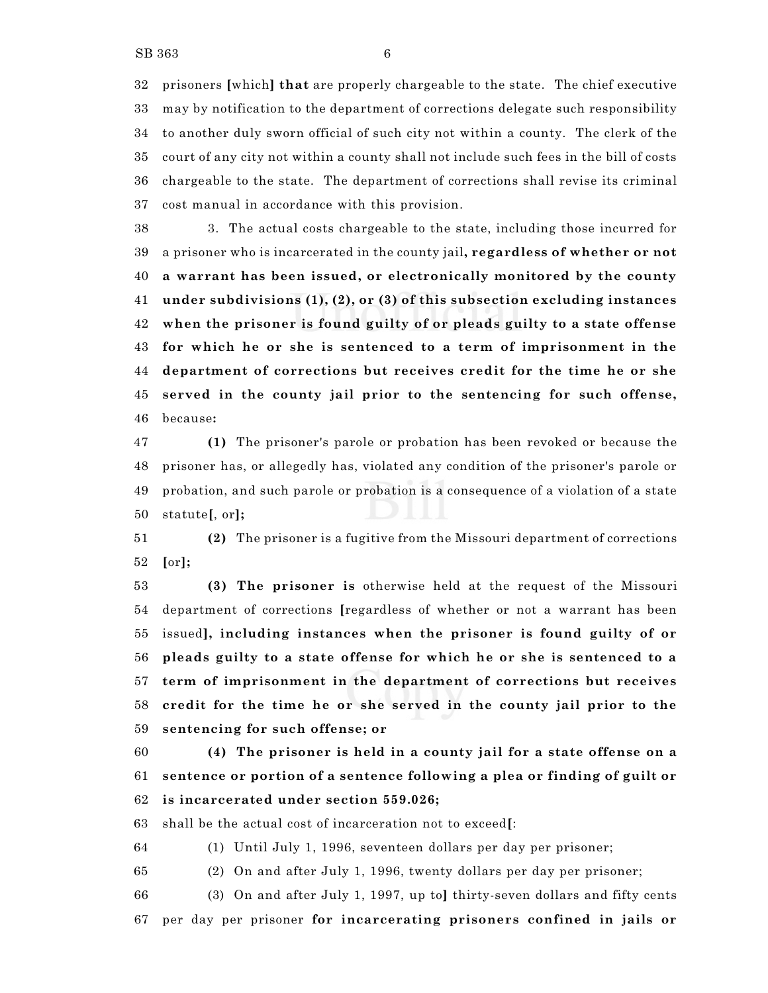prisoners **[**which**] that** are properly chargeable to the state. The chief executive may by notification to the department of corrections delegate such responsibility to another duly sworn official of such city not within a county. The clerk of the court of any city not within a county shall not include such fees in the bill of costs chargeable to the state. The department of corrections shall revise its criminal cost manual in accordance with this provision.

 3. The actual costs chargeable to the state, including those incurred for a prisoner who is incarcerated in the county jail**, regardless of whether or not a warrant has been issued, or electronically monitored by the county under subdivisions (1), (2), or (3) of this subsection excluding instances when the prisoner is found guilty of or pleads guilty to a state offense for which he or she is sentenced to a term of imprisonment in the department of corrections but receives credit for the time he or she served in the county jail prior to the sentencing for such offense,** because**:**

 **(1)** The prisoner's parole or probation has been revoked or because the prisoner has, or allegedly has, violated any condition of the prisoner's parole or probation, and such parole or probation is a consequence of a violation of a state statute**[**, or**];**

 **(2)** The prisoner is a fugitive from the Missouri department of corrections **[**or**];**

 **(3) The prisoner is** otherwise held at the request of the Missouri department of corrections **[**regardless of whether or not a warrant has been issued**], including instances when the prisoner is found guilty of or pleads guilty to a state offense for which he or she is sentenced to a term of imprisonment in the department of corrections but receives credit for the time he or she served in the county jail prior to the sentencing for such offense; or**

 **(4) The prisoner is held in a county jail for a state offense on a sentence or portion of a sentence following a plea or finding of guilt or is incarcerated under section 559.026;**

shall be the actual cost of incarceration not to exceed**[**:

(1) Until July 1, 1996, seventeen dollars per day per prisoner;

(2) On and after July 1, 1996, twenty dollars per day per prisoner;

 (3) On and after July 1, 1997, up to**]** thirty-seven dollars and fifty cents per day per prisoner **for incarcerating prisoners confined in jails or**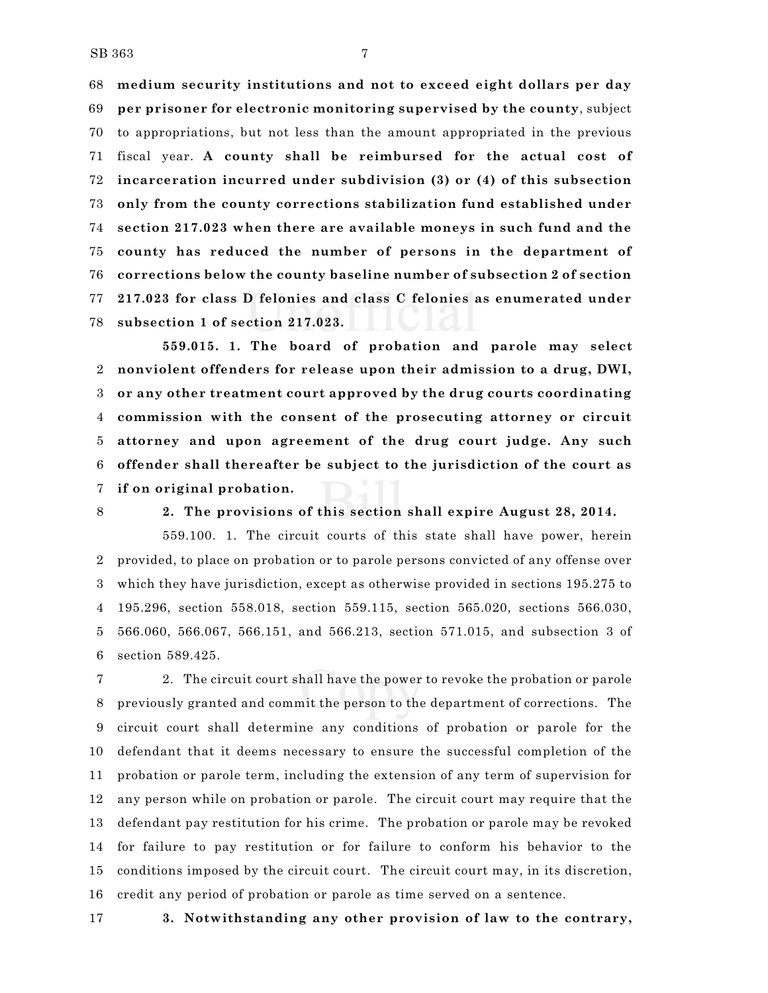**medium security institutions and not to exceed eight dollars per day per prisoner for electronic monitoring supervised by the county**, subject to appropriations, but not less than the amount appropriated in the previous fiscal year. **A county shall be reimbursed for the actual cost of incarceration incurred under subdivision (3) or (4) of this subsection only from the county corrections stabilization fund established under section 217.023 when there are available moneys in such fund and the county has reduced the number of persons in the department of corrections below the county baseline number of subsection 2 of section 217.023 for class D felonies and class C felonies as enumerated under subsection 1 of section 217.023.**

**559.015. 1. The board of probation and parole may select nonviolent offenders for release upon their admission to a drug, DWI, or any other treatment court approved by the drug courts coordinating commission with the consent of the prosecuting attorney or circuit attorney and upon agreement of the drug court judge. Any such offender shall thereafter be subject to the jurisdiction of the court as if on original probation.**

## **2. The provisions of this section shall expire August 28, 2014.**

559.100. 1. The circuit courts of this state shall have power, herein provided, to place on probation or to parole persons convicted of any offense over which they have jurisdiction, except as otherwise provided in sections 195.275 to 195.296, section 558.018, section 559.115, section 565.020, sections 566.030, 566.060, 566.067, 566.151, and 566.213, section 571.015, and subsection 3 of section 589.425.

 2. The circuit court shall have the power to revoke the probation or parole previously granted and commit the person to the department of corrections. The circuit court shall determine any conditions of probation or parole for the defendant that it deems necessary to ensure the successful completion of the probation or parole term, including the extension of any term of supervision for any person while on probation or parole. The circuit court may require that the defendant pay restitution for his crime. The probation or parole may be revoked for failure to pay restitution or for failure to conform his behavior to the conditions imposed by the circuit court. The circuit court may, in its discretion, credit any period of probation or parole as time served on a sentence.

**3. Notwithstanding any other provision of law to the contrary,**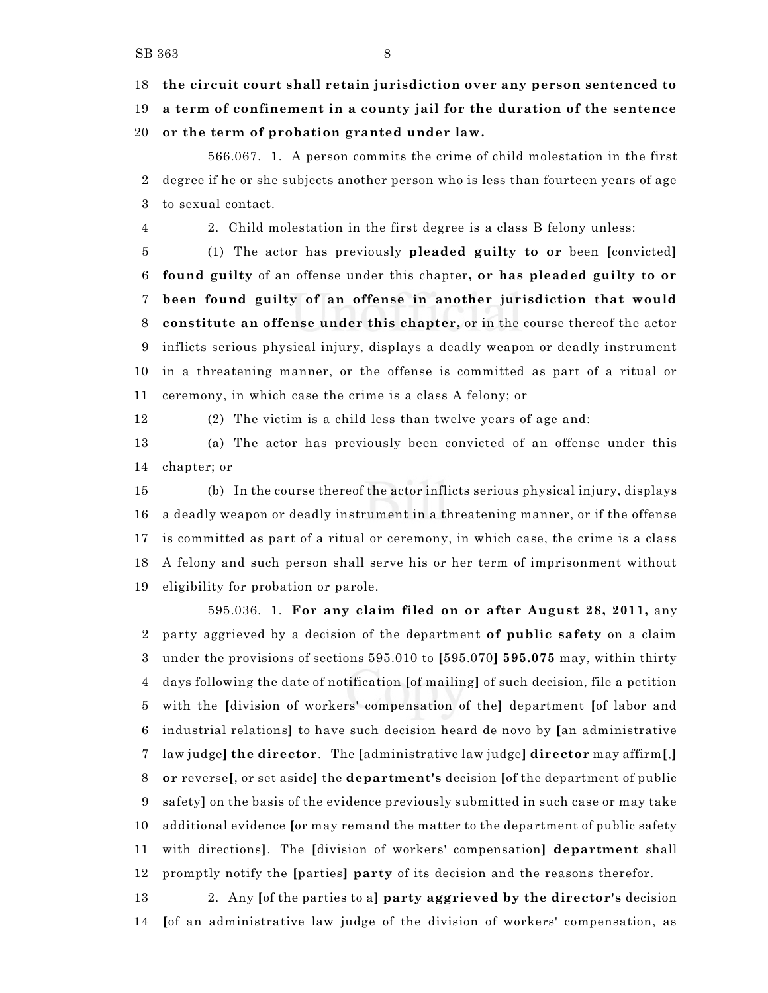**the circuit court shall retain jurisdiction over any person sentenced to**

**a term of confinement in a county jail for the duration of the sentence**

**or the term of probation granted under law.**

566.067. 1. A person commits the crime of child molestation in the first degree if he or she subjects another person who is less than fourteen years of age to sexual contact.

2. Child molestation in the first degree is a class B felony unless:

 (1) The actor has previously **pleaded guilty to or** been **[**convicted**] found guilty** of an offense under this chapter**, or has pleaded guilty to or been found guilty of an offense in another jurisdiction that would constitute an offense under this chapter,** or in the course thereof the actor inflicts serious physical injury, displays a deadly weapon or deadly instrument in a threatening manner, or the offense is committed as part of a ritual or ceremony, in which case the crime is a class A felony; or

(2) The victim is a child less than twelve years of age and:

 (a) The actor has previously been convicted of an offense under this chapter; or

 (b) In the course thereof the actor inflicts serious physical injury, displays a deadly weapon or deadly instrument in a threatening manner, or if the offense is committed as part of a ritual or ceremony, in which case, the crime is a class A felony and such person shall serve his or her term of imprisonment without eligibility for probation or parole.

595.036. 1. **For any claim filed on or after August 28, 2011,** any party aggrieved by a decision of the department **of public safety** on a claim under the provisions of sections 595.010 to **[**595.070**] 595.075** may, within thirty days following the date of notification **[**of mailing**]** of such decision, file a petition with the **[**division of workers' compensation of the**]** department **[**of labor and industrial relations**]** to have such decision heard de novo by **[**an administrative law judge**] the director**. The **[**administrative law judge**] director** may affirm**[**,**] or** reverse**[**, or set aside**]** the **department's** decision **[**of the department of public safety**]** on the basis of the evidence previously submitted in such case or may take additional evidence **[**or may remand the matter to the department of public safety with directions**]**. The **[**division of workers' compensation**] department** shall promptly notify the **[**parties**] party** of its decision and the reasons therefor.

 2. Any **[**of the parties to a**] party aggrieved by the director's** decision **[**of an administrative law judge of the division of workers' compensation, as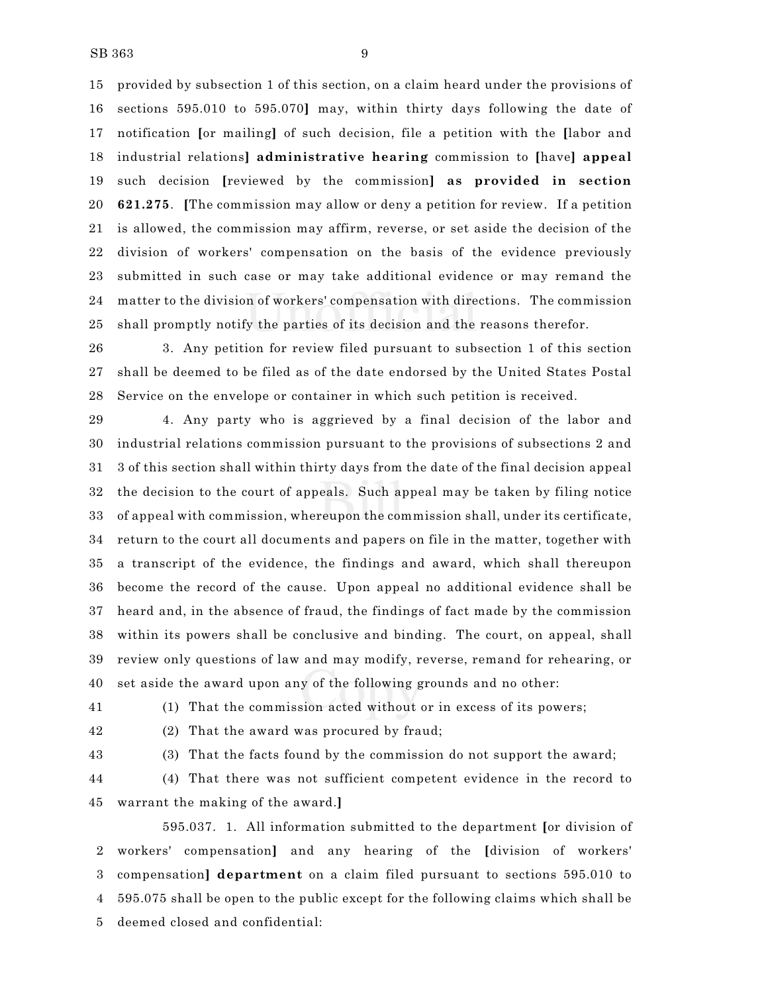provided by subsection 1 of this section, on a claim heard under the provisions of sections 595.010 to 595.070**]** may, within thirty days following the date of notification **[**or mailing**]** of such decision, file a petition with the **[**labor and industrial relations**] administrative hearing** commission to **[**have**] appeal** such decision **[**reviewed by the commission**] as provided in section 621.275**. **[**The commission may allow or deny a petition for review. If a petition is allowed, the commission may affirm, reverse, or set aside the decision of the division of workers' compensation on the basis of the evidence previously submitted in such case or may take additional evidence or may remand the matter to the division of workers' compensation with directions. The commission shall promptly notify the parties of its decision and the reasons therefor.

 3. Any petition for review filed pursuant to subsection 1 of this section shall be deemed to be filed as of the date endorsed by the United States Postal Service on the envelope or container in which such petition is received.

 4. Any party who is aggrieved by a final decision of the labor and industrial relations commission pursuant to the provisions of subsections 2 and 3 of this section shall within thirty days from the date of the final decision appeal the decision to the court of appeals. Such appeal may be taken by filing notice of appeal with commission, whereupon the commission shall, under its certificate, return to the court all documents and papers on file in the matter, together with a transcript of the evidence, the findings and award, which shall thereupon become the record of the cause. Upon appeal no additional evidence shall be heard and, in the absence of fraud, the findings of fact made by the commission within its powers shall be conclusive and binding. The court, on appeal, shall review only questions of law and may modify, reverse, remand for rehearing, or set aside the award upon any of the following grounds and no other:

(1) That the commission acted without or in excess of its powers;

(2) That the award was procured by fraud;

(3) That the facts found by the commission do not support the award;

 (4) That there was not sufficient competent evidence in the record to warrant the making of the award.**]**

595.037. 1. All information submitted to the department **[**or division of workers' compensation**]** and any hearing of the **[**division of workers' compensation**] department** on a claim filed pursuant to sections 595.010 to 595.075 shall be open to the public except for the following claims which shall be deemed closed and confidential: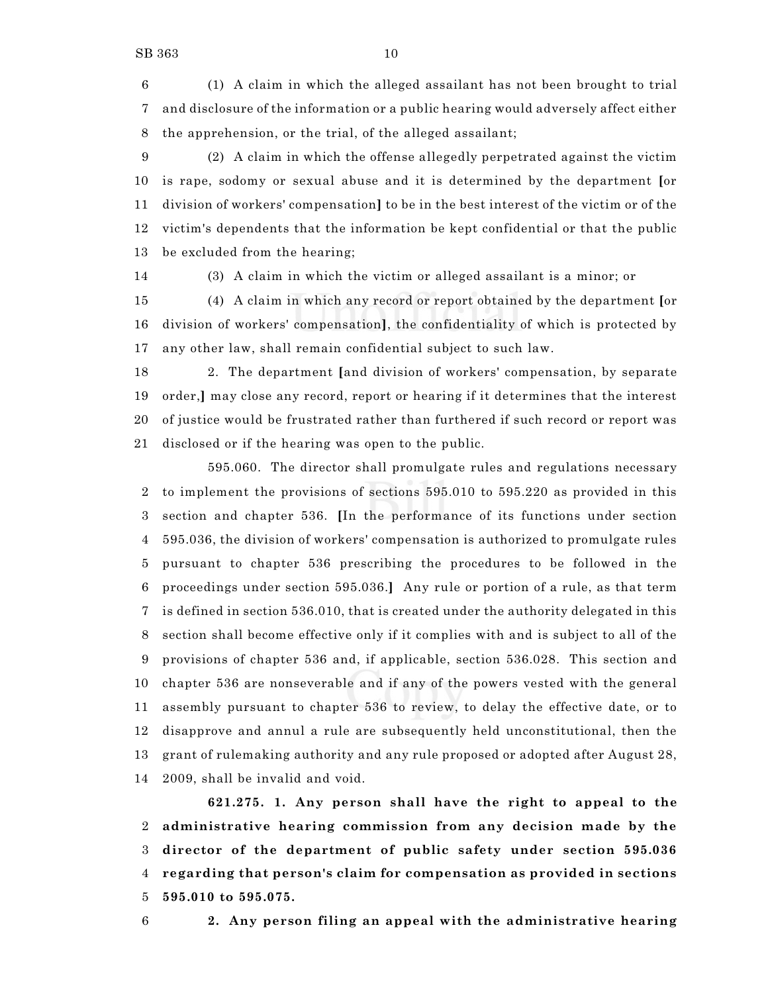(1) A claim in which the alleged assailant has not been brought to trial and disclosure of the information or a public hearing would adversely affect either the apprehension, or the trial, of the alleged assailant;

 (2) A claim in which the offense allegedly perpetrated against the victim is rape, sodomy or sexual abuse and it is determined by the department **[**or division of workers' compensation**]** to be in the best interest of the victim or of the victim's dependents that the information be kept confidential or that the public be excluded from the hearing;

(3) A claim in which the victim or alleged assailant is a minor; or

 (4) A claim in which any record or report obtained by the department **[**or division of workers' compensation**]**, the confidentiality of which is protected by any other law, shall remain confidential subject to such law.

 2. The department **[**and division of workers' compensation, by separate order,**]** may close any record, report or hearing if it determines that the interest of justice would be frustrated rather than furthered if such record or report was disclosed or if the hearing was open to the public.

595.060. The director shall promulgate rules and regulations necessary to implement the provisions of sections 595.010 to 595.220 as provided in this section and chapter 536. **[**In the performance of its functions under section 595.036, the division of workers' compensation is authorized to promulgate rules pursuant to chapter 536 prescribing the procedures to be followed in the proceedings under section 595.036.**]** Any rule or portion of a rule, as that term is defined in section 536.010, that is created under the authority delegated in this section shall become effective only if it complies with and is subject to all of the provisions of chapter 536 and, if applicable, section 536.028. This section and chapter 536 are nonseverable and if any of the powers vested with the general assembly pursuant to chapter 536 to review, to delay the effective date, or to disapprove and annul a rule are subsequently held unconstitutional, then the grant of rulemaking authority and any rule proposed or adopted after August 28, 2009, shall be invalid and void.

**621.275. 1. Any person shall have the right to appeal to the administrative hearing commission from any decision made by the director of the department of public safety under section 595.036 regarding that person's claim for compensation as provided in sections 595.010 to 595.075.**

**2. Any person filing an appeal with the administrative hearing**